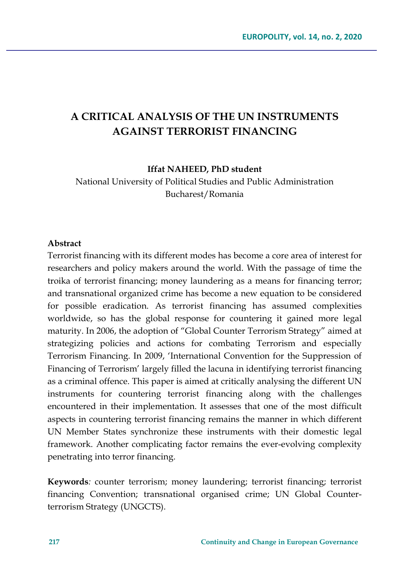# **A CRITICAL ANALYSIS OF THE UN INSTRUMENTS AGAINST TERRORIST FINANCING**

**Iffat NAHEED, PhD student**

National University of Political Studies and Public Administration Bucharest/Romania

#### **Abstract**

Terrorist financing with its different modes has become a core area of interest for researchers and policy makers around the world. With the passage of time the troika of terrorist financing; money laundering as a means for financing terror; and transnational organized crime has become a new equation to be considered for possible eradication. As terrorist financing has assumed complexities worldwide, so has the global response for countering it gained more legal maturity. In 2006, the adoption of "Global Counter Terrorism Strategy" aimed at strategizing policies and actions for combating Terrorism and especially Terrorism Financing. In 2009, 'International Convention for the Suppression of Financing of Terrorism' largely filled the lacuna in identifying terrorist financing as a criminal offence. This paper is aimed at critically analysing the different UN instruments for countering terrorist financing along with the challenges encountered in their implementation. It assesses that one of the most difficult aspects in countering terrorist financing remains the manner in which different UN Member States synchronize these instruments with their domestic legal framework. Another complicating factor remains the ever-evolving complexity penetrating into terror financing.

**Keywords***:* counter terrorism; money laundering; terrorist financing; terrorist financing Convention; transnational organised crime; UN Global Counterterrorism Strategy (UNGCTS).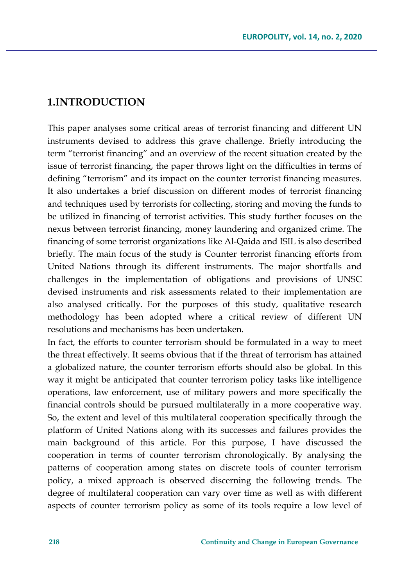# **1.INTRODUCTION**

This paper analyses some critical areas of terrorist financing and different UN instruments devised to address this grave challenge. Briefly introducing the term "terrorist financing" and an overview of the recent situation created by the issue of terrorist financing, the paper throws light on the difficulties in terms of defining "terrorism" and its impact on the counter terrorist financing measures. It also undertakes a brief discussion on different modes of terrorist financing and techniques used by terrorists for collecting, storing and moving the funds to be utilized in financing of terrorist activities. This study further focuses on the nexus between terrorist financing, money laundering and organized crime. The financing of some terrorist organizations like Al-Qaida and ISIL is also described briefly. The main focus of the study is Counter terrorist financing efforts from United Nations through its different instruments. The major shortfalls and challenges in the implementation of obligations and provisions of UNSC devised instruments and risk assessments related to their implementation are also analysed critically. For the purposes of this study, qualitative research methodology has been adopted where a critical review of different UN resolutions and mechanisms has been undertaken.

In fact, the efforts to counter terrorism should be formulated in a way to meet the threat effectively. It seems obvious that if the threat of terrorism has attained a globalized nature, the counter terrorism efforts should also be global. In this way it might be anticipated that counter terrorism policy tasks like intelligence operations, law enforcement, use of military powers and more specifically the financial controls should be pursued multilaterally in a more cooperative way. So, the extent and level of this multilateral cooperation specifically through the platform of United Nations along with its successes and failures provides the main background of this article. For this purpose, I have discussed the cooperation in terms of counter terrorism chronologically. By analysing the patterns of cooperation among states on discrete tools of counter terrorism policy, a mixed approach is observed discerning the following trends. The degree of multilateral cooperation can vary over time as well as with different aspects of counter terrorism policy as some of its tools require a low level of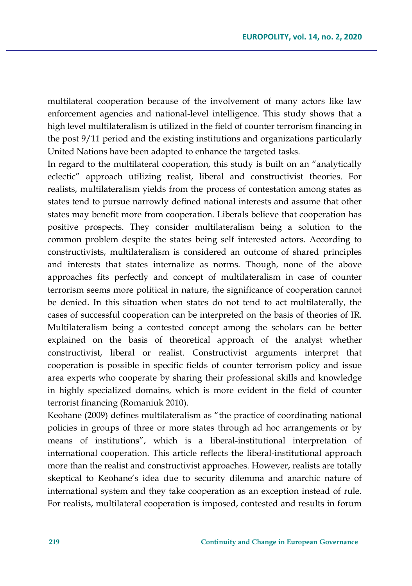multilateral cooperation because of the involvement of many actors like law enforcement agencies and national-level intelligence. This study shows that a high level multilateralism is utilized in the field of counter terrorism financing in the post 9/11 period and the existing institutions and organizations particularly United Nations have been adapted to enhance the targeted tasks.

In regard to the multilateral cooperation, this study is built on an "analytically eclectic" approach utilizing realist, liberal and constructivist theories. For realists, multilateralism yields from the process of contestation among states as states tend to pursue narrowly defined national interests and assume that other states may benefit more from cooperation. Liberals believe that cooperation has positive prospects. They consider multilateralism being a solution to the common problem despite the states being self interested actors. According to constructivists, multilateralism is considered an outcome of shared principles and interests that states internalize as norms. Though, none of the above approaches fits perfectly and concept of multilateralism in case of counter terrorism seems more political in nature, the significance of cooperation cannot be denied. In this situation when states do not tend to act multilaterally, the cases of successful cooperation can be interpreted on the basis of theories of IR. Multilateralism being a contested concept among the scholars can be better explained on the basis of theoretical approach of the analyst whether constructivist, liberal or realist. Constructivist arguments interpret that cooperation is possible in specific fields of counter terrorism policy and issue area experts who cooperate by sharing their professional skills and knowledge in highly specialized domains, which is more evident in the field of counter terrorist financing (Romaniuk 2010).

Keohane (2009) defines multilateralism as "the practice of coordinating national policies in groups of three or more states through ad hoc arrangements or by means of institutions", which is a liberal-institutional interpretation of international cooperation. This article reflects the liberal-institutional approach more than the realist and constructivist approaches. However, realists are totally skeptical to Keohane's idea due to security dilemma and anarchic nature of international system and they take cooperation as an exception instead of rule. For realists, multilateral cooperation is imposed, contested and results in forum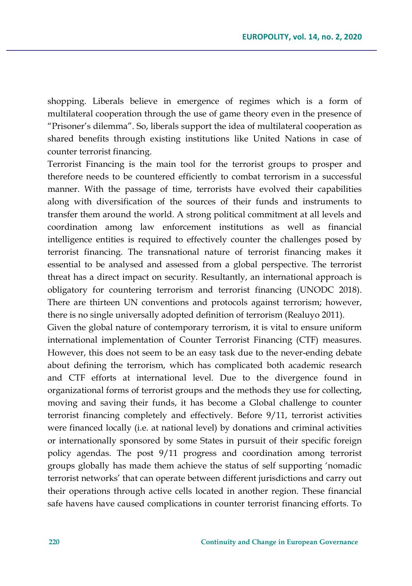shopping. Liberals believe in emergence of regimes which is a form of multilateral cooperation through the use of game theory even in the presence of "Prisoner's dilemma". So, liberals support the idea of multilateral cooperation as shared benefits through existing institutions like United Nations in case of counter terrorist financing.

Terrorist Financing is the main tool for the terrorist groups to prosper and therefore needs to be countered efficiently to combat terrorism in a successful manner. With the passage of time, terrorists have evolved their capabilities along with diversification of the sources of their funds and instruments to transfer them around the world. A strong political commitment at all levels and coordination among law enforcement institutions as well as financial intelligence entities is required to effectively counter the challenges posed by terrorist financing. The transnational nature of terrorist financing makes it essential to be analysed and assessed from a global perspective. The terrorist threat has a direct impact on security. Resultantly, an international approach is obligatory for countering terrorism and terrorist financing (UNODC 2018). There are thirteen UN conventions and protocols against terrorism; however, there is no single universally adopted definition of terrorism (Realuyo 2011).

Given the global nature of contemporary terrorism, it is vital to ensure uniform international implementation of Counter Terrorist Financing (CTF) measures. However, this does not seem to be an easy task due to the never-ending debate about defining the terrorism, which has complicated both academic research and CTF efforts at international level. Due to the divergence found in organizational forms of terrorist groups and the methods they use for collecting, moving and saving their funds, it has become a Global challenge to counter terrorist financing completely and effectively. Before 9/11, terrorist activities were financed locally (i.e. at national level) by donations and criminal activities or internationally sponsored by some States in pursuit of their specific foreign policy agendas. The post 9/11 progress and coordination among terrorist groups globally has made them achieve the status of self supporting 'nomadic terrorist networks' that can operate between different jurisdictions and carry out their operations through active cells located in another region. These financial safe havens have caused complications in counter terrorist financing efforts. To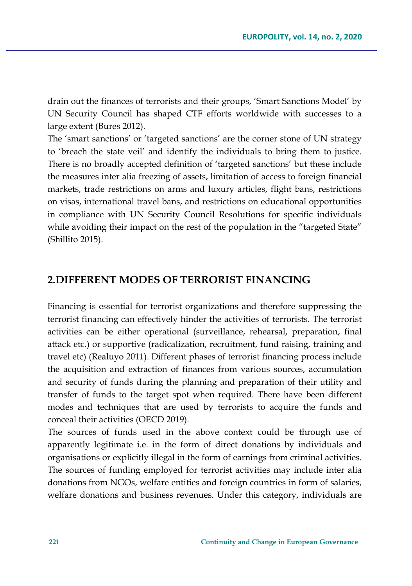drain out the finances of terrorists and their groups, 'Smart Sanctions Model' by UN Security Council has shaped CTF efforts worldwide with successes to a large extent (Bures 2012).

The 'smart sanctions' or 'targeted sanctions' are the corner stone of UN strategy to 'breach the state veil' and identify the individuals to bring them to justice. There is no broadly accepted definition of 'targeted sanctions' but these include the measures inter alia freezing of assets, limitation of access to foreign financial markets, trade restrictions on arms and luxury articles, flight bans, restrictions on visas, international travel bans, and restrictions on educational opportunities in compliance with UN Security Council Resolutions for specific individuals while avoiding their impact on the rest of the population in the "targeted State" (Shillito 2015).

### **2.DIFFERENT MODES OF TERRORIST FINANCING**

Financing is essential for terrorist organizations and therefore suppressing the terrorist financing can effectively hinder the activities of terrorists. The terrorist activities can be either operational (surveillance, rehearsal, preparation, final attack etc.) or supportive (radicalization, recruitment, fund raising, training and travel etc) (Realuyo 2011). Different phases of terrorist financing process include the acquisition and extraction of finances from various sources, accumulation and security of funds during the planning and preparation of their utility and transfer of funds to the target spot when required. There have been different modes and techniques that are used by terrorists to acquire the funds and conceal their activities (OECD 2019).

The sources of funds used in the above context could be through use of apparently legitimate i.e. in the form of direct donations by individuals and organisations or explicitly illegal in the form of earnings from criminal activities. The sources of funding employed for terrorist activities may include inter alia donations from NGOs, welfare entities and foreign countries in form of salaries, welfare donations and business revenues. Under this category, individuals are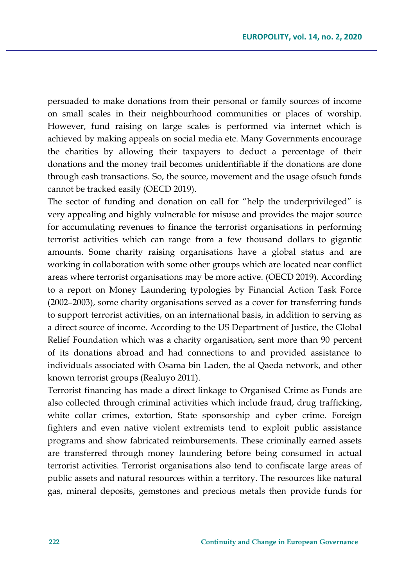persuaded to make donations from their personal or family sources of income on small scales in their neighbourhood communities or places of worship. However, fund raising on large scales is performed via internet which is achieved by making appeals on social media etc. Many Governments encourage the charities by allowing their taxpayers to deduct a percentage of their donations and the money trail becomes unidentifiable if the donations are done through cash transactions. So, the source, movement and the usage ofsuch funds cannot be tracked easily (OECD 2019).

The sector of funding and donation on call for "help the underprivileged" is very appealing and highly vulnerable for misuse and provides the major source for accumulating revenues to finance the terrorist organisations in performing terrorist activities which can range from a few thousand dollars to gigantic amounts. Some charity raising organisations have a global status and are working in collaboration with some other groups which are located near conflict areas where terrorist organisations may be more active. (OECD 2019). According to a report on Money Laundering typologies by Financial Action Task Force (2002–2003), some charity organisations served as a cover for transferring funds to support terrorist activities, on an international basis, in addition to serving as a direct source of income. According to the US Department of Justice, the Global Relief Foundation which was a charity organisation, sent more than 90 percent of its donations abroad and had connections to and provided assistance to individuals associated with Osama bin Laden, the al Qaeda network, and other known terrorist groups (Realuyo 2011).

Terrorist financing has made a direct linkage to Organised Crime as Funds are also collected through criminal activities which include fraud, drug trafficking, white collar crimes, extortion, State sponsorship and cyber crime. Foreign fighters and even native violent extremists tend to exploit public assistance programs and show fabricated reimbursements. These criminally earned assets are transferred through money laundering before being consumed in actual terrorist activities. Terrorist organisations also tend to confiscate large areas of public assets and natural resources within a territory. The resources like natural gas, mineral deposits, gemstones and precious metals then provide funds for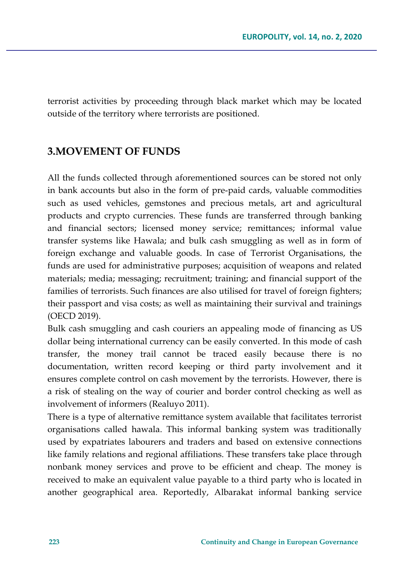terrorist activities by proceeding through black market which may be located outside of the territory where terrorists are positioned.

# **3.MOVEMENT OF FUNDS**

All the funds collected through aforementioned sources can be stored not only in bank accounts but also in the form of pre-paid cards, valuable commodities such as used vehicles, gemstones and precious metals, art and agricultural products and crypto currencies. These funds are transferred through banking and financial sectors; licensed money service; remittances; informal value transfer systems like Hawala; and bulk cash smuggling as well as in form of foreign exchange and valuable goods. In case of Terrorist Organisations, the funds are used for administrative purposes; acquisition of weapons and related materials; media; messaging; recruitment; training; and financial support of the families of terrorists. Such finances are also utilised for travel of foreign fighters; their passport and visa costs; as well as maintaining their survival and trainings (OECD 2019).

Bulk cash smuggling and cash couriers an appealing mode of financing as US dollar being international currency can be easily converted. In this mode of cash transfer, the money trail cannot be traced easily because there is no documentation, written record keeping or third party involvement and it ensures complete control on cash movement by the terrorists. However, there is a risk of stealing on the way of courier and border control checking as well as involvement of informers (Realuyo 2011).

There is a type of alternative remittance system available that facilitates terrorist organisations called hawala. This informal banking system was traditionally used by expatriates labourers and traders and based on extensive connections like family relations and regional affiliations. These transfers take place through nonbank money services and prove to be efficient and cheap. The money is received to make an equivalent value payable to a third party who is located in another geographical area. Reportedly, Albarakat informal banking service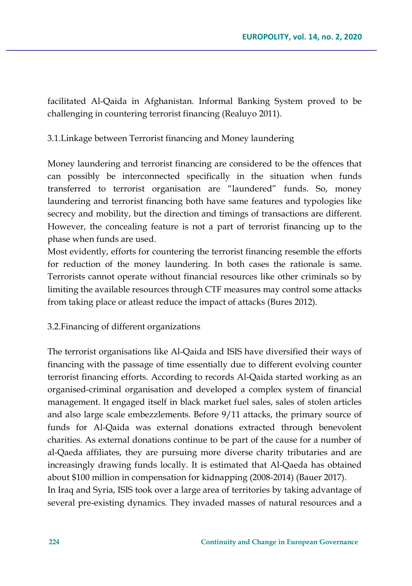facilitated Al-Qaida in Afghanistan. Informal Banking System proved to be challenging in countering terrorist financing (Realuyo 2011).

3.1.Linkage between Terrorist financing and Money laundering

Money laundering and terrorist financing are considered to be the offences that can possibly be interconnected specifically in the situation when funds transferred to terrorist organisation are "laundered" funds. So, money laundering and terrorist financing both have same features and typologies like secrecy and mobility, but the direction and timings of transactions are different. However, the concealing feature is not a part of terrorist financing up to the phase when funds are used.

Most evidently, efforts for countering the terrorist financing resemble the efforts for reduction of the money laundering. In both cases the rationale is same. Terrorists cannot operate without financial resources like other criminals so by limiting the available resources through CTF measures may control some attacks from taking place or atleast reduce the impact of attacks (Bures 2012).

3.2.Financing of different organizations

The terrorist organisations like Al-Qaida and ISIS have diversified their ways of financing with the passage of time essentially due to different evolving counter terrorist financing efforts. According to records Al-Qaida started working as an organised-criminal organisation and developed a complex system of financial management. It engaged itself in black market fuel sales, sales of stolen articles and also large scale embezzlements. Before 9/11 attacks, the primary source of funds for Al-Qaida was external donations extracted through benevolent charities. As external donations continue to be part of the cause for a number of al-Qaeda affiliates, they are pursuing more diverse charity tributaries and are increasingly drawing funds locally. It is estimated that Al-Qaeda has obtained about \$100 million in compensation for kidnapping (2008-2014) (Bauer 2017).

In Iraq and Syria, ISIS took over a large area of territories by taking advantage of several pre-existing dynamics. They invaded masses of natural resources and a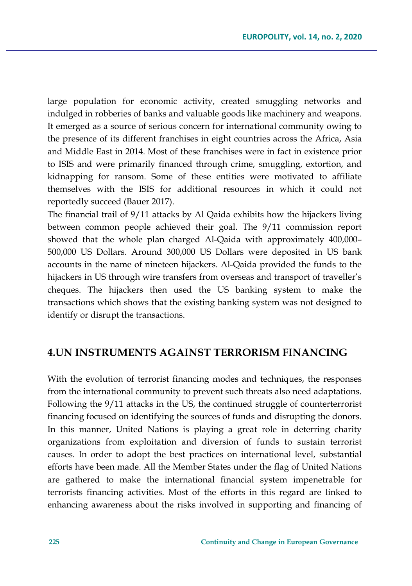large population for economic activity, created smuggling networks and indulged in robberies of banks and valuable goods like machinery and weapons. It emerged as a source of serious concern for international community owing to the presence of its different franchises in eight countries across the Africa, Asia and Middle East in 2014. Most of these franchises were in fact in existence prior to ISIS and were primarily financed through crime, smuggling, extortion, and kidnapping for ransom. Some of these entities were motivated to affiliate themselves with the ISIS for additional resources in which it could not reportedly succeed (Bauer 2017).

The financial trail of 9/11 attacks by Al Qaida exhibits how the hijackers living between common people achieved their goal. The 9/11 commission report showed that the whole plan charged Al-Qaida with approximately 400,000– 500,000 US Dollars. Around 300,000 US Dollars were deposited in US bank accounts in the name of nineteen hijackers. Al-Qaida provided the funds to the hijackers in US through wire transfers from overseas and transport of traveller's cheques. The hijackers then used the US banking system to make the transactions which shows that the existing banking system was not designed to identify or disrupt the transactions.

# **4.UN INSTRUMENTS AGAINST TERRORISM FINANCING**

With the evolution of terrorist financing modes and techniques, the responses from the international community to prevent such threats also need adaptations. Following the 9/11 attacks in the US, the continued struggle of counterterrorist financing focused on identifying the sources of funds and disrupting the donors. In this manner, United Nations is playing a great role in deterring charity organizations from exploitation and diversion of funds to sustain terrorist causes. In order to adopt the best practices on international level, substantial efforts have been made. All the Member States under the flag of United Nations are gathered to make the international financial system impenetrable for terrorists financing activities. Most of the efforts in this regard are linked to enhancing awareness about the risks involved in supporting and financing of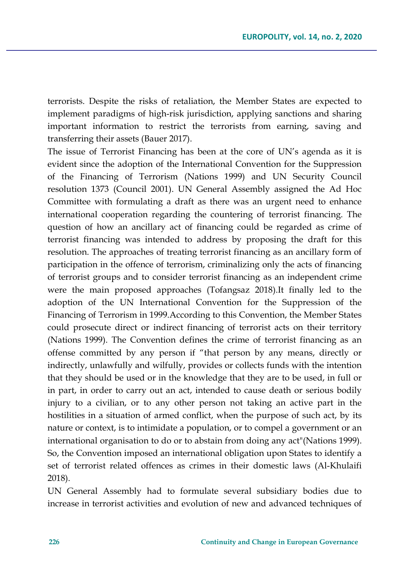terrorists. Despite the risks of retaliation, the Member States are expected to implement paradigms of high-risk jurisdiction, applying sanctions and sharing important information to restrict the terrorists from earning, saving and transferring their assets (Bauer 2017).

The issue of Terrorist Financing has been at the core of UN's agenda as it is evident since the adoption of the International Convention for the Suppression of the Financing of Terrorism (Nations 1999) and UN Security Council resolution 1373 (Council 2001). UN General Assembly assigned the Ad Hoc Committee with formulating a draft as there was an urgent need to enhance international cooperation regarding the countering of terrorist financing. The question of how an ancillary act of financing could be regarded as crime of terrorist financing was intended to address by proposing the draft for this resolution. The approaches of treating terrorist financing as an ancillary form of participation in the offence of terrorism, criminalizing only the acts of financing of terrorist groups and to consider terrorist financing as an independent crime were the main proposed approaches (Tofangsaz 2018).It finally led to the adoption of the UN International Convention for the Suppression of the Financing of Terrorism in 1999.According to this Convention, the Member States could prosecute direct or indirect financing of terrorist acts on their territory (Nations 1999). The Convention defines the crime of terrorist financing as an offense committed by any person if "that person by any means, directly or indirectly, unlawfully and wilfully, provides or collects funds with the intention that they should be used or in the knowledge that they are to be used, in full or in part, in order to carry out an act, intended to cause death or serious bodily injury to a civilian, or to any other person not taking an active part in the hostilities in a situation of armed conflict, when the purpose of such act, by its nature or context, is to intimidate a population, or to compel a government or an international organisation to do or to abstain from doing any act"(Nations 1999). So, the Convention imposed an international obligation upon States to identify a set of terrorist related offences as crimes in their domestic laws (Al-Khulaifi 2018).

UN General Assembly had to formulate several subsidiary bodies due to increase in terrorist activities and evolution of new and advanced techniques of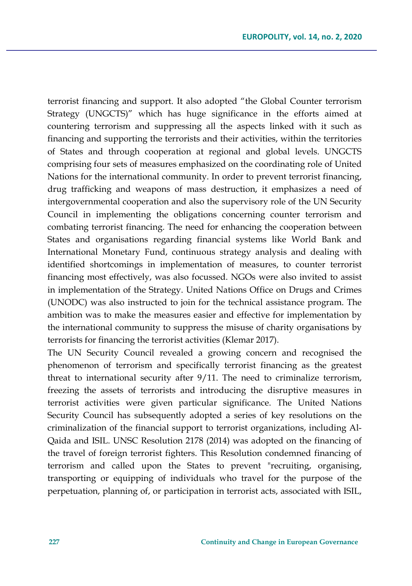terrorist financing and support. It also adopted "the Global Counter terrorism Strategy (UNGCTS)" which has huge significance in the efforts aimed at countering terrorism and suppressing all the aspects linked with it such as financing and supporting the terrorists and their activities, within the territories of States and through cooperation at regional and global levels. UNGCTS comprising four sets of measures emphasized on the coordinating role of United Nations for the international community. In order to prevent terrorist financing, drug trafficking and weapons of mass destruction, it emphasizes a need of intergovernmental cooperation and also the supervisory role of the UN Security Council in implementing the obligations concerning counter terrorism and combating terrorist financing. The need for enhancing the cooperation between States and organisations regarding financial systems like World Bank and International Monetary Fund, continuous strategy analysis and dealing with identified shortcomings in implementation of measures, to counter terrorist financing most effectively, was also focussed. NGOs were also invited to assist in implementation of the Strategy. United Nations Office on Drugs and Crimes (UNODC) was also instructed to join for the technical assistance program. The ambition was to make the measures easier and effective for implementation by the international community to suppress the misuse of charity organisations by terrorists for financing the terrorist activities (Klemar 2017).

The UN Security Council revealed a growing concern and recognised the phenomenon of terrorism and specifically terrorist financing as the greatest threat to international security after 9/11. The need to criminalize terrorism, freezing the assets of terrorists and introducing the disruptive measures in terrorist activities were given particular significance. The United Nations Security Council has subsequently adopted a series of key resolutions on the criminalization of the financial support to terrorist organizations, including Al-Qaida and ISIL. UNSC Resolution 2178 (2014) was adopted on the financing of the travel of foreign terrorist fighters. This Resolution condemned financing of terrorism and called upon the States to prevent "recruiting, organising, transporting or equipping of individuals who travel for the purpose of the perpetuation, planning of, or participation in terrorist acts, associated with ISIL,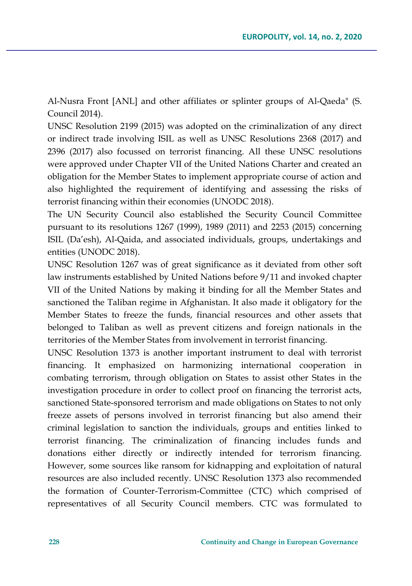Al-Nusra Front [ANL] and other affiliates or splinter groups of Al-Qaeda" (S. Council 2014).

UNSC Resolution 2199 (2015) was adopted on the criminalization of any direct or indirect trade involving ISIL as well as UNSC Resolutions 2368 (2017) and 2396 (2017) also focussed on terrorist financing. All these UNSC resolutions were approved under Chapter VII of the United Nations Charter and created an obligation for the Member States to implement appropriate course of action and also highlighted the requirement of identifying and assessing the risks of terrorist financing within their economies (UNODC 2018).

The UN Security Council also established the Security Council Committee pursuant to its resolutions 1267 (1999), 1989 (2011) and 2253 (2015) concerning ISIL (Da'esh), Al-Qaida, and associated individuals, groups, undertakings and entities (UNODC 2018).

UNSC Resolution 1267 was of great significance as it deviated from other soft law instruments established by United Nations before 9/11 and invoked chapter VII of the United Nations by making it binding for all the Member States and sanctioned the Taliban regime in Afghanistan. It also made it obligatory for the Member States to freeze the funds, financial resources and other assets that belonged to Taliban as well as prevent citizens and foreign nationals in the territories of the Member States from involvement in terrorist financing.

UNSC Resolution 1373 is another important instrument to deal with terrorist financing. It emphasized on harmonizing international cooperation in combating terrorism, through obligation on States to assist other States in the investigation procedure in order to collect proof on financing the terrorist acts, sanctioned State-sponsored terrorism and made obligations on States to not only freeze assets of persons involved in terrorist financing but also amend their criminal legislation to sanction the individuals, groups and entities linked to terrorist financing. The criminalization of financing includes funds and donations either directly or indirectly intended for terrorism financing. However, some sources like ransom for kidnapping and exploitation of natural resources are also included recently. UNSC Resolution 1373 also recommended the formation of Counter-Terrorism-Committee (CTC) which comprised of representatives of all Security Council members. CTC was formulated to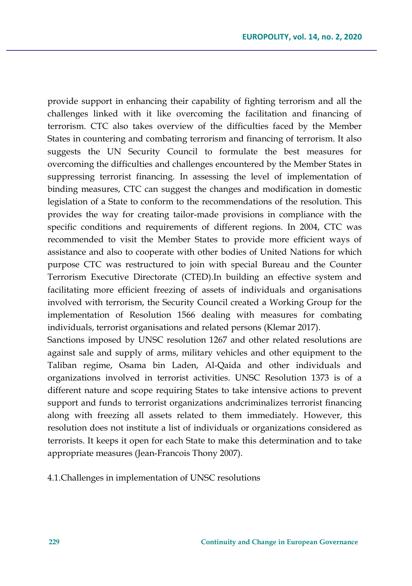provide support in enhancing their capability of fighting terrorism and all the challenges linked with it like overcoming the facilitation and financing of terrorism. CTC also takes overview of the difficulties faced by the Member States in countering and combating terrorism and financing of terrorism. It also suggests the UN Security Council to formulate the best measures for overcoming the difficulties and challenges encountered by the Member States in suppressing terrorist financing. In assessing the level of implementation of binding measures, CTC can suggest the changes and modification in domestic legislation of a State to conform to the recommendations of the resolution. This provides the way for creating tailor-made provisions in compliance with the specific conditions and requirements of different regions. In 2004, CTC was recommended to visit the Member States to provide more efficient ways of assistance and also to cooperate with other bodies of United Nations for which purpose CTC was restructured to join with special Bureau and the Counter Terrorism Executive Directorate (CTED).In building an effective system and facilitating more efficient freezing of assets of individuals and organisations involved with terrorism, the Security Council created a Working Group for the implementation of Resolution 1566 dealing with measures for combating individuals, terrorist organisations and related persons (Klemar 2017).

Sanctions imposed by UNSC resolution 1267 and other related resolutions are against sale and supply of arms, military vehicles and other equipment to the Taliban regime, Osama bin Laden, Al-Qaida and other individuals and organizations involved in terrorist activities. UNSC Resolution 1373 is of a different nature and scope requiring States to take intensive actions to prevent support and funds to terrorist organizations andcriminalizes terrorist financing along with freezing all assets related to them immediately. However, this resolution does not institute a list of individuals or organizations considered as terrorists. It keeps it open for each State to make this determination and to take appropriate measures (Jean-Francois Thony 2007).

4.1.Challenges in implementation of UNSC resolutions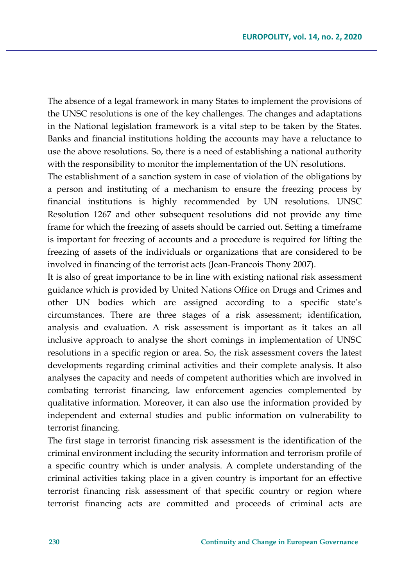The absence of a legal framework in many States to implement the provisions of the UNSC resolutions is one of the key challenges. The changes and adaptations in the National legislation framework is a vital step to be taken by the States. Banks and financial institutions holding the accounts may have a reluctance to use the above resolutions. So, there is a need of establishing a national authority with the responsibility to monitor the implementation of the UN resolutions.

The establishment of a sanction system in case of violation of the obligations by a person and instituting of a mechanism to ensure the freezing process by financial institutions is highly recommended by UN resolutions. UNSC Resolution 1267 and other subsequent resolutions did not provide any time frame for which the freezing of assets should be carried out. Setting a timeframe is important for freezing of accounts and a procedure is required for lifting the freezing of assets of the individuals or organizations that are considered to be involved in financing of the terrorist acts (Jean-Francois Thony 2007).

It is also of great importance to be in line with existing national risk assessment guidance which is provided by United Nations Office on Drugs and Crimes and other UN bodies which are assigned according to a specific state's circumstances. There are three stages of a risk assessment; identification, analysis and evaluation. A risk assessment is important as it takes an all inclusive approach to analyse the short comings in implementation of UNSC resolutions in a specific region or area. So, the risk assessment covers the latest developments regarding criminal activities and their complete analysis. It also analyses the capacity and needs of competent authorities which are involved in combating terrorist financing, law enforcement agencies complemented by qualitative information. Moreover, it can also use the information provided by independent and external studies and public information on vulnerability to terrorist financing.

The first stage in terrorist financing risk assessment is the identification of the criminal environment including the security information and terrorism profile of a specific country which is under analysis. A complete understanding of the criminal activities taking place in a given country is important for an effective terrorist financing risk assessment of that specific country or region where terrorist financing acts are committed and proceeds of criminal acts are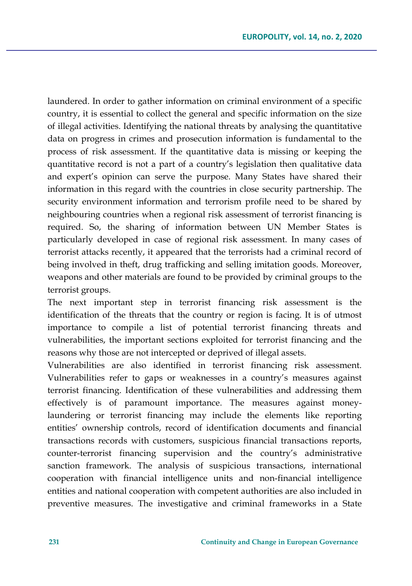laundered. In order to gather information on criminal environment of a specific country, it is essential to collect the general and specific information on the size of illegal activities. Identifying the national threats by analysing the quantitative data on progress in crimes and prosecution information is fundamental to the process of risk assessment. If the quantitative data is missing or keeping the quantitative record is not a part of a country's legislation then qualitative data and expert's opinion can serve the purpose. Many States have shared their information in this regard with the countries in close security partnership. The security environment information and terrorism profile need to be shared by neighbouring countries when a regional risk assessment of terrorist financing is required. So, the sharing of information between UN Member States is particularly developed in case of regional risk assessment. In many cases of terrorist attacks recently, it appeared that the terrorists had a criminal record of being involved in theft, drug trafficking and selling imitation goods. Moreover, weapons and other materials are found to be provided by criminal groups to the terrorist groups.

The next important step in terrorist financing risk assessment is the identification of the threats that the country or region is facing. It is of utmost importance to compile a list of potential terrorist financing threats and vulnerabilities, the important sections exploited for terrorist financing and the reasons why those are not intercepted or deprived of illegal assets.

Vulnerabilities are also identified in terrorist financing risk assessment. Vulnerabilities refer to gaps or weaknesses in a country's measures against terrorist financing. Identification of these vulnerabilities and addressing them effectively is of paramount importance. The measures against moneylaundering or terrorist financing may include the elements like reporting entities' ownership controls, record of identification documents and financial transactions records with customers, suspicious financial transactions reports, counter-terrorist financing supervision and the country's administrative sanction framework. The analysis of suspicious transactions, international cooperation with financial intelligence units and non-financial intelligence entities and national cooperation with competent authorities are also included in preventive measures. The investigative and criminal frameworks in a State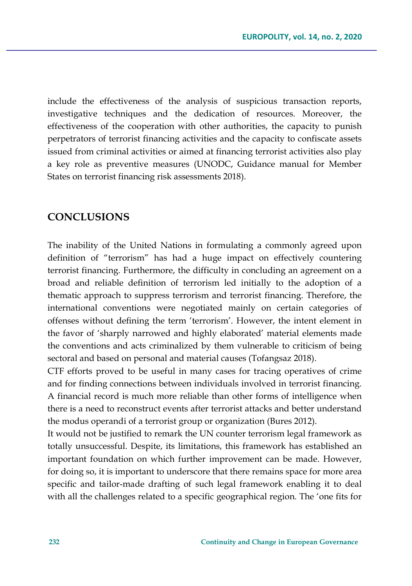include the effectiveness of the analysis of suspicious transaction reports, investigative techniques and the dedication of resources. Moreover, the effectiveness of the cooperation with other authorities, the capacity to punish perpetrators of terrorist financing activities and the capacity to confiscate assets issued from criminal activities or aimed at financing terrorist activities also play a key role as preventive measures (UNODC, Guidance manual for Member States on terrorist financing risk assessments 2018).

# **CONCLUSIONS**

The inability of the United Nations in formulating a commonly agreed upon definition of "terrorism" has had a huge impact on effectively countering terrorist financing. Furthermore, the difficulty in concluding an agreement on a broad and reliable definition of terrorism led initially to the adoption of a thematic approach to suppress terrorism and terrorist financing. Therefore, the international conventions were negotiated mainly on certain categories of offenses without defining the term 'terrorism'. However, the intent element in the favor of 'sharply narrowed and highly elaborated' material elements made the conventions and acts criminalized by them vulnerable to criticism of being sectoral and based on personal and material causes (Tofangsaz 2018).

CTF efforts proved to be useful in many cases for tracing operatives of crime and for finding connections between individuals involved in terrorist financing. A financial record is much more reliable than other forms of intelligence when there is a need to reconstruct events after terrorist attacks and better understand the modus operandi of a terrorist group or organization (Bures 2012).

It would not be justified to remark the UN counter terrorism legal framework as totally unsuccessful. Despite, its limitations, this framework has established an important foundation on which further improvement can be made. However, for doing so, it is important to underscore that there remains space for more area specific and tailor-made drafting of such legal framework enabling it to deal with all the challenges related to a specific geographical region. The 'one fits for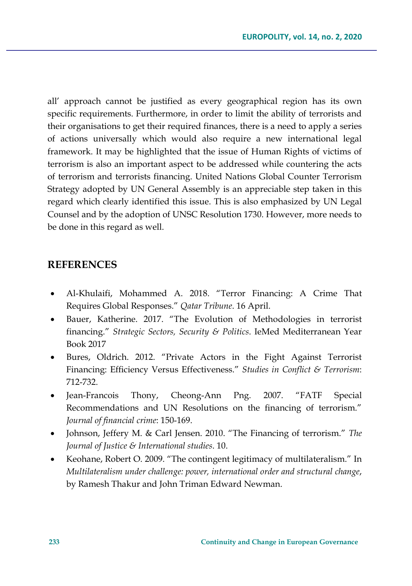all' approach cannot be justified as every geographical region has its own specific requirements. Furthermore, in order to limit the ability of terrorists and their organisations to get their required finances, there is a need to apply a series of actions universally which would also require a new international legal framework. It may be highlighted that the issue of Human Rights of victims of terrorism is also an important aspect to be addressed while countering the acts of terrorism and terrorists financing. United Nations Global Counter Terrorism Strategy adopted by UN General Assembly is an appreciable step taken in this regard which clearly identified this issue. This is also emphasized by UN Legal Counsel and by the adoption of UNSC Resolution 1730. However, more needs to be done in this regard as well.

# **REFERENCES**

- Al-Khulaifi, Mohammed A. 2018. "Terror Financing: A Crime That Requires Global Responses." *Qatar Tribune*. 16 April.
- Bauer, Katherine. 2017. "The Evolution of Methodologies in terrorist financing." *Strategic Sectors, Security & Politics*. IeMed Mediterranean Year Book 2017
- Bures, Oldrich. 2012. "Private Actors in the Fight Against Terrorist Financing: Efficiency Versus Effectiveness." *Studies in Conflict & Terrorism*: 712-732.
- Jean-Francois Thony, Cheong-Ann Png. 2007. "FATF Special Recommendations and UN Resolutions on the financing of terrorism." *Journal of financial crime*: 150-169.
- Johnson, Jeffery M. & Carl Jensen. 2010. "The Financing of terrorism." *The Journal of Justice & International studies*. 10.
- Keohane, Robert O. 2009. "The contingent legitimacy of multilateralism." In *Multilateralism under challenge: power, international order and structural change*, by Ramesh Thakur and John Triman Edward Newman.